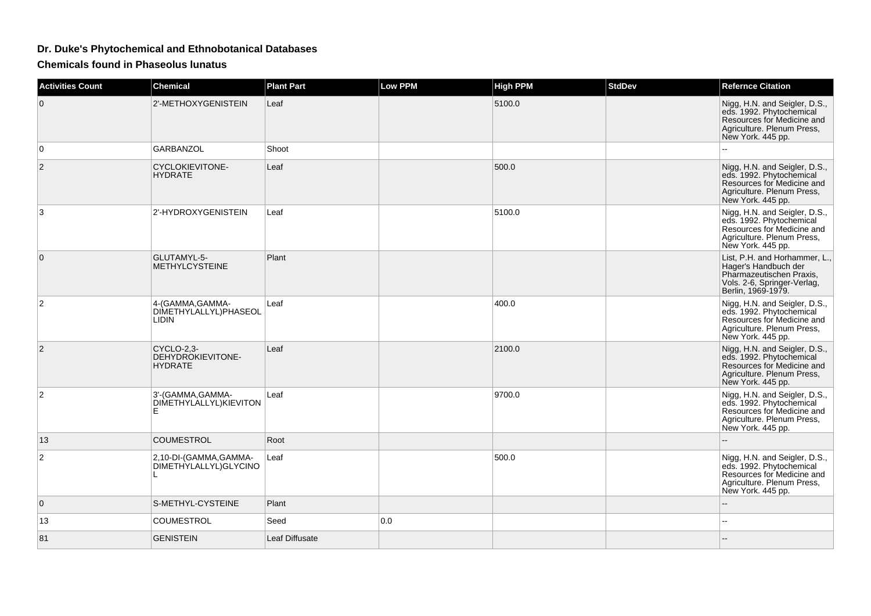## **Dr. Duke's Phytochemical and Ethnobotanical Databases**

**Chemicals found in Phaseolus lunatus**

| <b>Activities Count</b> | <b>Chemical</b>                                           | <b>Plant Part</b> | Low PPM | <b>High PPM</b> | <b>StdDev</b> | <b>Refernce Citation</b>                                                                                                                   |
|-------------------------|-----------------------------------------------------------|-------------------|---------|-----------------|---------------|--------------------------------------------------------------------------------------------------------------------------------------------|
| 0                       | 2'-METHOXYGENISTEIN                                       | Leaf              |         | 5100.0          |               | Nigg, H.N. and Seigler, D.S.,<br>eds. 1992. Phytochemical<br>Resources for Medicine and<br>Agriculture. Plenum Press,<br>New York. 445 pp. |
| 0                       | <b>GARBANZOL</b>                                          | Shoot             |         |                 |               |                                                                                                                                            |
| $\overline{2}$          | <b>CYCLOKIEVITONE-</b><br><b>HYDRATE</b>                  | Leaf              |         | 500.0           |               | Nigg, H.N. and Seigler, D.S.,<br>eds. 1992. Phytochemical<br>Resources for Medicine and<br>Agriculture. Plenum Press,<br>New York. 445 pp. |
| 3                       | 2'-HYDROXYGENISTEIN                                       | Leaf              |         | 5100.0          |               | Nigg, H.N. and Seigler, D.S.,<br>eds. 1992. Phytochemical<br>Resources for Medicine and<br>Agriculture. Plenum Press,<br>New York. 445 pp. |
| $\mathbf{0}$            | GLUTAMYL-5-<br><b>METHYLCYSTEINE</b>                      | Plant             |         |                 |               | List, P.H. and Horhammer, L.,<br>Hager's Handbuch der<br>Pharmazeutischen Praxis.<br>Vols. 2-6, Springer-Verlag,<br>Berlin, 1969-1979.     |
| $\overline{2}$          | 4-(GAMMA, GAMMA-<br>DIMETHYLALLYL)PHASEOL<br><b>LIDIN</b> | Leaf              |         | 400.0           |               | Nigg, H.N. and Seigler, D.S.,<br>eds. 1992. Phytochemical<br>Resources for Medicine and<br>Agriculture. Plenum Press,<br>New York. 445 pp. |
| $\overline{2}$          | CYCLO-2,3-<br>DEHYDROKIEVITONE-<br><b>HYDRATE</b>         | Leaf              |         | 2100.0          |               | Nigg, H.N. and Seigler, D.S.,<br>eds. 1992. Phytochemical<br>Resources for Medicine and<br>Agriculture. Plenum Press,<br>New York. 445 pp. |
| 2                       | 3'-(GAMMA, GAMMA-<br>DIMETHYLALLYL)KIEVITON<br>Е          | Leaf              |         | 9700.0          |               | Nigg, H.N. and Seigler, D.S.,<br>eds. 1992. Phytochemical<br>Resources for Medicine and<br>Agriculture. Plenum Press,<br>New York. 445 pp. |
| 13                      | <b>COUMESTROL</b>                                         | Root              |         |                 |               |                                                                                                                                            |
| 2                       | 2,10-DI-(GAMMA, GAMMA-<br>DIMETHYLALLYL) GLYCINO          | Leaf              |         | 500.0           |               | Nigg, H.N. and Seigler, D.S.,<br>eds. 1992. Phytochemical<br>Resources for Medicine and<br>Agriculture. Plenum Press,<br>New York. 445 pp. |
| 0                       | S-METHYL-CYSTEINE                                         | Plant             |         |                 |               |                                                                                                                                            |
| 13                      | <b>COUMESTROL</b>                                         | Seed              | 0.0     |                 |               | $\overline{a}$                                                                                                                             |
| 81                      | <b>GENISTEIN</b>                                          | Leaf Diffusate    |         |                 |               |                                                                                                                                            |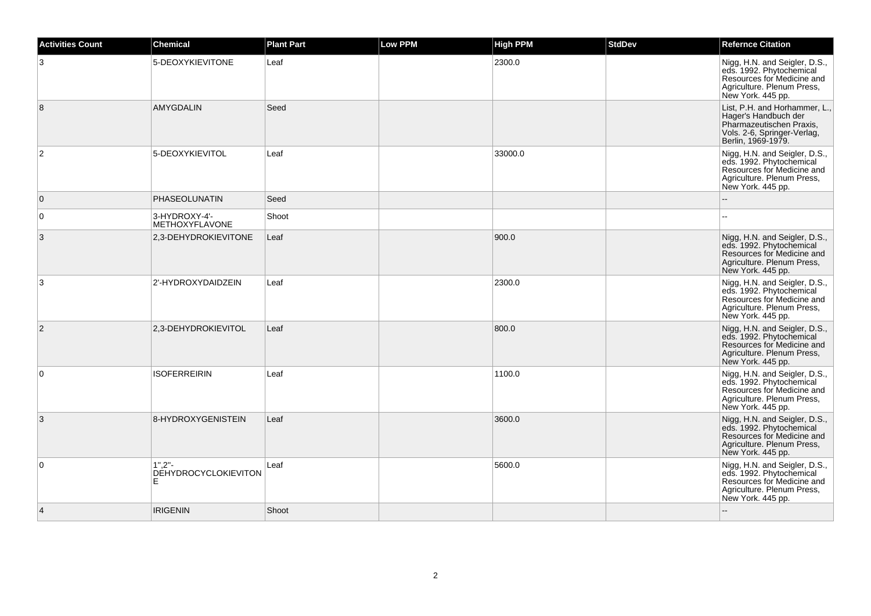| <b>Activities Count</b> | <b>Chemical</b>                              | <b>Plant Part</b> | <b>Low PPM</b> | <b>High PPM</b> | <b>StdDev</b> | <b>Refernce Citation</b>                                                                                                                   |
|-------------------------|----------------------------------------------|-------------------|----------------|-----------------|---------------|--------------------------------------------------------------------------------------------------------------------------------------------|
| 3                       | 5-DEOXYKIEVITONE                             | Leaf              |                | 2300.0          |               | Nigg, H.N. and Seigler, D.S.,<br>eds. 1992. Phytochemical<br>Resources for Medicine and<br>Agriculture. Plenum Press,<br>New York. 445 pp. |
| 8                       | AMYGDALIN                                    | Seed              |                |                 |               | List, P.H. and Horhammer, L.,<br>Hager's Handbuch der<br>Pharmazeutischen Praxis,<br>Vols. 2-6, Springer-Verlag,<br>Berlin, 1969-1979.     |
| $\overline{2}$          | 5-DEOXYKIEVITOL                              | Leaf              |                | 33000.0         |               | Nigg, H.N. and Seigler, D.S.,<br>eds. 1992. Phytochemical<br>Resources for Medicine and<br>Agriculture. Plenum Press,<br>New York. 445 pp. |
| $\mathbf 0$             | PHASEOLUNATIN                                | Seed              |                |                 |               |                                                                                                                                            |
| 0                       | 3-HYDROXY-4'-<br><b>METHOXYFLAVONE</b>       | Shoot             |                |                 |               |                                                                                                                                            |
| 3                       | 2,3-DEHYDROKIEVITONE                         | Leaf              |                | 900.0           |               | Nigg, H.N. and Seigler, D.S.,<br>eds. 1992. Phytochemical<br>Resources for Medicine and<br>Agriculture. Plenum Press,<br>New York. 445 pp. |
| 3                       | 2'-HYDROXYDAIDZEIN                           | Leaf              |                | 2300.0          |               | Nigg, H.N. and Seigler, D.S.,<br>eds. 1992. Phytochemical<br>Resources for Medicine and<br>Agriculture. Plenum Press,<br>New York. 445 pp. |
| $\overline{2}$          | 2,3-DEHYDROKIEVITOL                          | Leaf              |                | 800.0           |               | Nigg, H.N. and Seigler, D.S.,<br>eds. 1992. Phytochemical<br>Resources for Medicine and<br>Agriculture. Plenum Press,<br>New York. 445 pp. |
| $\Omega$                | <b>ISOFERREIRIN</b>                          | Leaf              |                | 1100.0          |               | Nigg, H.N. and Seigler, D.S.,<br>eds. 1992. Phytochemical<br>Resources for Medicine and<br>Agriculture. Plenum Press,<br>New York. 445 pp. |
| 3                       | 8-HYDROXYGENISTEIN                           | Leaf              |                | 3600.0          |               | Nigg, H.N. and Seigler, D.S.,<br>eds. 1992. Phytochemical<br>Resources for Medicine and<br>Agriculture. Plenum Press,<br>New York. 445 pp. |
| 0                       | 1".2''.<br><b>DÉHYDROCYCLOKIEVITON</b><br>E. | Leaf              |                | 5600.0          |               | Nigg, H.N. and Seigler, D.S.,<br>eds. 1992. Phytochemical<br>Resources for Medicine and<br>Agriculture. Plenum Press,<br>New York. 445 pp. |
| $\overline{4}$          | <b>IRIGENIN</b>                              | Shoot             |                |                 |               |                                                                                                                                            |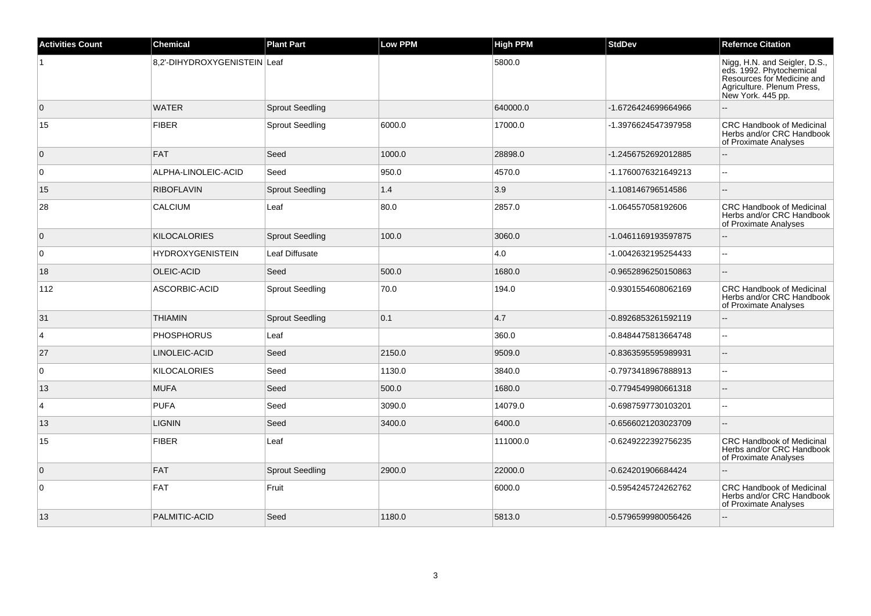| <b>Activities Count</b> | <b>Chemical</b>              | <b>Plant Part</b>      | Low PPM | <b>High PPM</b> | <b>StdDev</b>       | <b>Refernce Citation</b>                                                                                                                   |
|-------------------------|------------------------------|------------------------|---------|-----------------|---------------------|--------------------------------------------------------------------------------------------------------------------------------------------|
|                         | 8,2'-DIHYDROXYGENISTEIN Leaf |                        |         | 5800.0          |                     | Nigg, H.N. and Seigler, D.S.,<br>eds. 1992. Phytochemical<br>Resources for Medicine and<br>Agriculture. Plenum Press,<br>New York. 445 pp. |
| $\overline{0}$          | <b>WATER</b>                 | <b>Sprout Seedling</b> |         | 640000.0        | -1.6726424699664966 |                                                                                                                                            |
| 15                      | <b>FIBER</b>                 | <b>Sprout Seedling</b> | 6000.0  | 17000.0         | -1.3976624547397958 | <b>CRC Handbook of Medicinal</b><br>Herbs and/or CRC Handbook<br>of Proximate Analyses                                                     |
| $\overline{0}$          | <b>FAT</b>                   | Seed                   | 1000.0  | 28898.0         | -1.2456752692012885 |                                                                                                                                            |
| $\overline{0}$          | ALPHA-LINOLEIC-ACID          | Seed                   | 950.0   | 4570.0          | -1.1760076321649213 | $\sim$                                                                                                                                     |
| 15                      | <b>RIBOFLAVIN</b>            | <b>Sprout Seedling</b> | 1.4     | 3.9             | -1.108146796514586  |                                                                                                                                            |
| 28                      | <b>CALCIUM</b>               | Leaf                   | 80.0    | 2857.0          | -1.064557058192606  | <b>CRC Handbook of Medicinal</b><br>Herbs and/or CRC Handbook<br>of Proximate Analyses                                                     |
| $\overline{0}$          | <b>KILOCALORIES</b>          | <b>Sprout Seedling</b> | 100.0   | 3060.0          | -1.0461169193597875 |                                                                                                                                            |
| $\overline{0}$          | <b>HYDROXYGENISTEIN</b>      | Leaf Diffusate         |         | 4.0             | -1.0042632195254433 | $\sim$                                                                                                                                     |
| 18                      | OLEIC-ACID                   | Seed                   | 500.0   | 1680.0          | -0.9652896250150863 |                                                                                                                                            |
| 112                     | ASCORBIC-ACID                | <b>Sprout Seedling</b> | 70.0    | 194.0           | -0.9301554608062169 | <b>CRC Handbook of Medicinal</b><br>Herbs and/or CRC Handbook<br>of Proximate Analyses                                                     |
| 31                      | <b>THIAMIN</b>               | <b>Sprout Seedling</b> | 0.1     | 4.7             | -0.8926853261592119 |                                                                                                                                            |
| $\overline{4}$          | <b>PHOSPHORUS</b>            | Leaf                   |         | 360.0           | -0.8484475813664748 | $\mathbf{u}$                                                                                                                               |
| 27                      | LINOLEIC-ACID                | Seed                   | 2150.0  | 9509.0          | -0.8363595595989931 | $\overline{\phantom{a}}$                                                                                                                   |
| $\overline{0}$          | KILOCALORIES                 | Seed                   | 1130.0  | 3840.0          | -0.7973418967888913 | $\sim$                                                                                                                                     |
| 13                      | <b>MUFA</b>                  | Seed                   | 500.0   | 1680.0          | -0.7794549980661318 |                                                                                                                                            |
| $\overline{4}$          | <b>PUFA</b>                  | Seed                   | 3090.0  | 14079.0         | -0.6987597730103201 | $\mathbf{u}$                                                                                                                               |
| 13                      | <b>LIGNIN</b>                | Seed                   | 3400.0  | 6400.0          | -0.6566021203023709 |                                                                                                                                            |
| 15                      | <b>FIBER</b>                 | Leaf                   |         | 111000.0        | -0.6249222392756235 | <b>CRC Handbook of Medicinal</b><br>Herbs and/or CRC Handbook<br>of Proximate Analyses                                                     |
| $\overline{0}$          | FAT                          | <b>Sprout Seedling</b> | 2900.0  | 22000.0         | -0.624201906684424  |                                                                                                                                            |
| $\overline{0}$          | <b>FAT</b>                   | Fruit                  |         | 6000.0          | -0.5954245724262762 | <b>CRC Handbook of Medicinal</b><br>Herbs and/or CRC Handbook<br>of Proximate Analyses                                                     |
| 13                      | PALMITIC-ACID                | Seed                   | 1180.0  | 5813.0          | -0.5796599980056426 |                                                                                                                                            |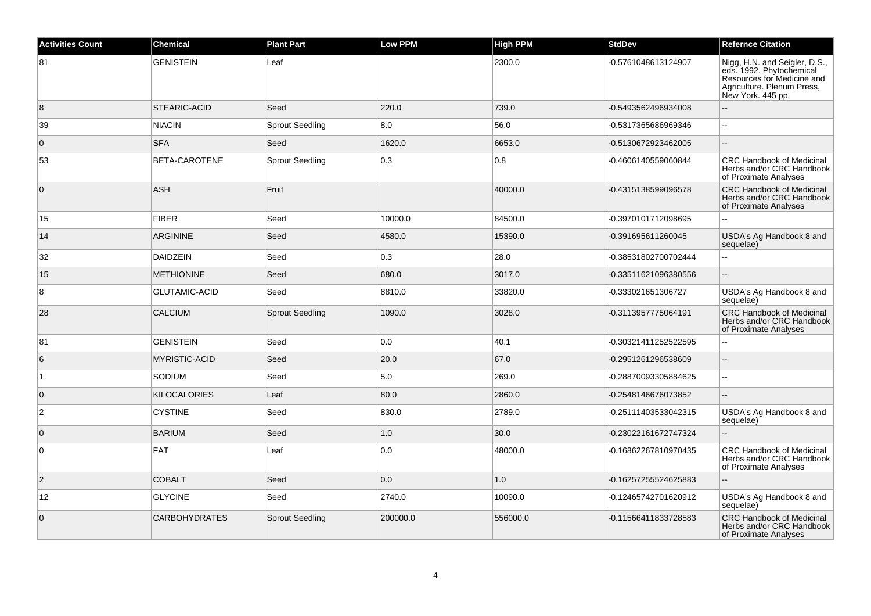| <b>Activities Count</b> | <b>Chemical</b>      | <b>Plant Part</b>      | <b>Low PPM</b> | <b>High PPM</b> | <b>StdDev</b>        | <b>Refernce Citation</b>                                                                                                                |
|-------------------------|----------------------|------------------------|----------------|-----------------|----------------------|-----------------------------------------------------------------------------------------------------------------------------------------|
| 81                      | <b>GENISTEIN</b>     | Leaf                   |                | 2300.0          | -0.5761048613124907  | Nigg, H.N. and Seigler, D.S., eds. 1992. Phytochemical<br>Resources for Medicine and<br>Agriculture. Plenum Press,<br>New York. 445 pp. |
| 8                       | STEARIC-ACID         | Seed                   | 220.0          | 739.0           | -0.5493562496934008  |                                                                                                                                         |
| 39                      | <b>NIACIN</b>        | <b>Sprout Seedling</b> | 8.0            | 56.0            | -0.5317365686969346  |                                                                                                                                         |
| $\overline{0}$          | <b>SFA</b>           | Seed                   | 1620.0         | 6653.0          | -0.5130672923462005  |                                                                                                                                         |
| 53                      | BETA-CAROTENE        | <b>Sprout Seedling</b> | 0.3            | 0.8             | -0.4606140559060844  | <b>CRC Handbook of Medicinal</b><br>Herbs and/or CRC Handbook<br>of Proximate Analyses                                                  |
| $\overline{0}$          | <b>ASH</b>           | Fruit                  |                | 40000.0         | -0.4315138599096578  | CRC Handbook of Medicinal<br>Herbs and/or CRC Handbook<br>of Proximate Analyses                                                         |
| 15                      | <b>FIBER</b>         | Seed                   | 10000.0        | 84500.0         | -0.3970101712098695  |                                                                                                                                         |
| 14                      | <b>ARGININE</b>      | Seed                   | 4580.0         | 15390.0         | -0.391695611260045   | USDA's Ag Handbook 8 and<br>sequelae)                                                                                                   |
| 32                      | <b>DAIDZEIN</b>      | Seed                   | 0.3            | 28.0            | -0.38531802700702444 |                                                                                                                                         |
| 15                      | <b>METHIONINE</b>    | Seed                   | 680.0          | 3017.0          | -0.33511621096380556 |                                                                                                                                         |
| 8                       | <b>GLUTAMIC-ACID</b> | Seed                   | 8810.0         | 33820.0         | -0.333021651306727   | USDA's Ag Handbook 8 and<br>sequelae)                                                                                                   |
| 28                      | <b>CALCIUM</b>       | <b>Sprout Seedling</b> | 1090.0         | 3028.0          | -0.3113957775064191  | <b>CRC Handbook of Medicinal</b><br>Herbs and/or CRC Handbook<br>of Proximate Analyses                                                  |
| 81                      | <b>GENISTEIN</b>     | Seed                   | 0.0            | 40.1            | -0.30321411252522595 | ä.                                                                                                                                      |
| $6\phantom{.}6$         | <b>MYRISTIC-ACID</b> | Seed                   | 20.0           | 67.0            | -0.2951261296538609  |                                                                                                                                         |
| $\vert$ 1               | SODIUM               | Seed                   | 5.0            | 269.0           | -0.28870093305884625 | L.                                                                                                                                      |
| $\overline{0}$          | <b>KILOCALORIES</b>  | Leaf                   | 80.0           | 2860.0          | -0.2548146676073852  |                                                                                                                                         |
| $\overline{2}$          | <b>CYSTINE</b>       | Seed                   | 830.0          | 2789.0          | -0.25111403533042315 | USDA's Ag Handbook 8 and<br>sequelae)                                                                                                   |
| $\overline{0}$          | <b>BARIUM</b>        | Seed                   | 1.0            | 30.0            | -0.23022161672747324 |                                                                                                                                         |
| $\overline{0}$          | <b>FAT</b>           | Leaf                   | 0.0            | 48000.0         | -0.16862267810970435 | <b>CRC Handbook of Medicinal</b><br>Herbs and/or CRC Handbook<br>of Proximate Analyses                                                  |
| $\overline{2}$          | <b>COBALT</b>        | Seed                   | 0.0            | 1.0             | -0.16257255524625883 |                                                                                                                                         |
| 12                      | <b>GLYCINE</b>       | Seed                   | 2740.0         | 10090.0         | -0.12465742701620912 | USDA's Ag Handbook 8 and<br>sequelae)                                                                                                   |
| $\overline{0}$          | <b>CARBOHYDRATES</b> | <b>Sprout Seedling</b> | 200000.0       | 556000.0        | -0.11566411833728583 | <b>CRC Handbook of Medicinal</b><br>Herbs and/or CRC Handbook<br>of Proximate Analyses                                                  |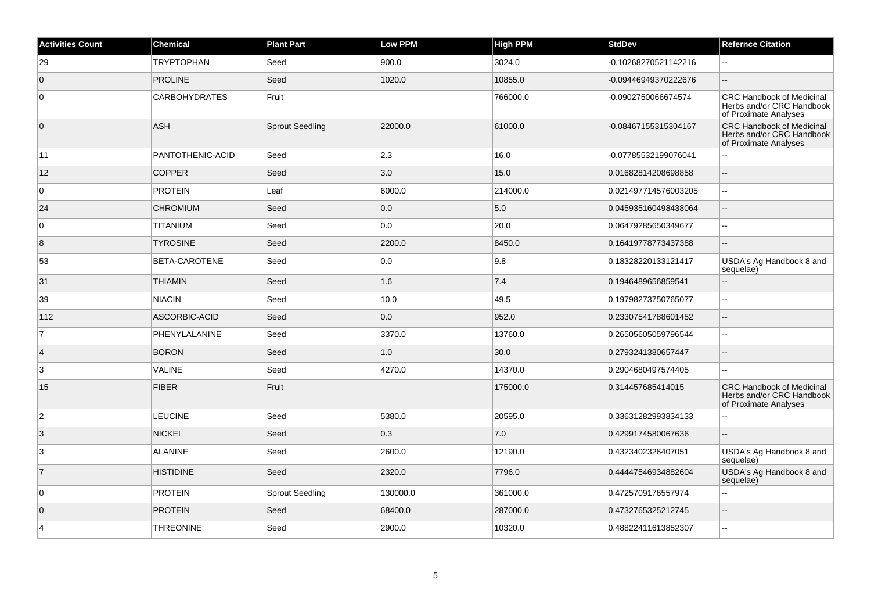| <b>Activities Count</b> | <b>Chemical</b>      | <b>Plant Part</b>      | <b>Low PPM</b> | High PPM | <b>StdDev</b>        | <b>Refernce Citation</b>                                                               |
|-------------------------|----------------------|------------------------|----------------|----------|----------------------|----------------------------------------------------------------------------------------|
| 29                      | <b>TRYPTOPHAN</b>    | Seed                   | 900.0          | 3024.0   | -0.10268270521142216 |                                                                                        |
| $\overline{0}$          | <b>PROLINE</b>       | Seed                   | 1020.0         | 10855.0  | -0.09446949370222676 | ÷.                                                                                     |
| $\overline{0}$          | <b>CARBOHYDRATES</b> | Fruit                  |                | 766000.0 | -0.0902750066674574  | <b>CRC Handbook of Medicinal</b><br>Herbs and/or CRC Handbook<br>of Proximate Analyses |
| $\overline{0}$          | ASH                  | <b>Sprout Seedling</b> | 22000.0        | 61000.0  | -0.08467155315304167 | <b>CRC Handbook of Medicinal</b><br>Herbs and/or CRC Handbook<br>of Proximate Analyses |
| 11                      | PANTOTHENIC-ACID     | Seed                   | 2.3            | 16.0     | -0.07785532199076041 |                                                                                        |
| 12                      | <b>COPPER</b>        | Seed                   | 3.0            | 15.0     | 0.01682814208698858  | $\overline{\phantom{a}}$                                                               |
| $\overline{0}$          | <b>PROTEIN</b>       | Leaf                   | 6000.0         | 214000.0 | 0.021497714576003205 | $\sim$                                                                                 |
| 24                      | <b>CHROMIUM</b>      | Seed                   | 0.0            | 5.0      | 0.045935160498438064 |                                                                                        |
| $\overline{0}$          | TITANIUM             | Seed                   | 0.0            | 20.0     | 0.06479285650349677  | ÷.                                                                                     |
| $\overline{8}$          | <b>TYROSINE</b>      | Seed                   | 2200.0         | 8450.0   | 0.16419778773437388  |                                                                                        |
| 53                      | BETA-CAROTENE        | Seed                   | 0.0            | 9.8      | 0.18328220133121417  | USDA's Ag Handbook 8 and<br>sequelae)                                                  |
| 31                      | <b>THIAMIN</b>       | Seed                   | 1.6            | 7.4      | 0.1946489656859541   | Ξ.                                                                                     |
| 39                      | <b>NIACIN</b>        | Seed                   | 10.0           | 49.5     | 0.19798273750765077  | $\overline{a}$                                                                         |
| 112                     | ASCORBIC-ACID        | Seed                   | $0.0\,$        | 952.0    | 0.23307541788601452  | $\overline{\phantom{a}}$                                                               |
| $\overline{7}$          | PHENYLALANINE        | Seed                   | 3370.0         | 13760.0  | 0.26505605059796544  | $\sim$                                                                                 |
| $\vert$ 4               | <b>BORON</b>         | Seed                   | 1.0            | 30.0     | 0.2793241380657447   |                                                                                        |
| 3                       | <b>VALINE</b>        | Seed                   | 4270.0         | 14370.0  | 0.2904680497574405   | ÷.                                                                                     |
| 15                      | <b>FIBER</b>         | Fruit                  |                | 175000.0 | 0.314457685414015    | <b>CRC Handbook of Medicinal</b><br>Herbs and/or CRC Handbook<br>of Proximate Analyses |
| $\overline{2}$          | <b>LEUCINE</b>       | Seed                   | 5380.0         | 20595.0  | 0.33631282993834133  |                                                                                        |
| $\vert$ 3               | <b>NICKEL</b>        | Seed                   | 0.3            | 7.0      | 0.4299174580067636   |                                                                                        |
| 3                       | <b>ALANINE</b>       | Seed                   | 2600.0         | 12190.0  | 0.4323402326407051   | USDA's Ag Handbook 8 and<br>sequelae)                                                  |
| $\overline{7}$          | <b>HISTIDINE</b>     | Seed                   | 2320.0         | 7796.0   | 0.44447546934882604  | USDA's Ag Handbook 8 and<br>sequelae)                                                  |
| $\overline{0}$          | <b>PROTEIN</b>       | <b>Sprout Seedling</b> | 130000.0       | 361000.0 | 0.4725709176557974   | $\sim$                                                                                 |
| $\overline{0}$          | <b>PROTEIN</b>       | Seed                   | 68400.0        | 287000.0 | 0.4732765325212745   | $\sim$                                                                                 |
| $\overline{4}$          | <b>THREONINE</b>     | Seed                   | 2900.0         | 10320.0  | 0.48822411613852307  |                                                                                        |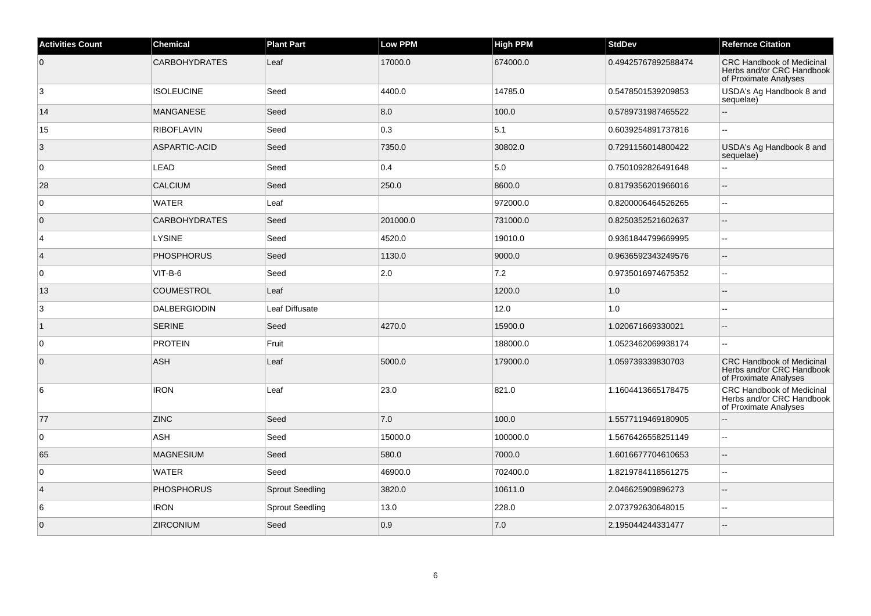| <b>Activities Count</b> | Chemical             | <b>Plant Part</b>      | <b>Low PPM</b> | <b>High PPM</b> | <b>StdDev</b>       | <b>Refernce Citation</b>                                                               |
|-------------------------|----------------------|------------------------|----------------|-----------------|---------------------|----------------------------------------------------------------------------------------|
| $\overline{0}$          | <b>CARBOHYDRATES</b> | Leaf                   | 17000.0        | 674000.0        | 0.49425767892588474 | <b>CRC Handbook of Medicinal</b><br>Herbs and/or CRC Handbook<br>of Proximate Analyses |
| $\overline{3}$          | <b>ISOLEUCINE</b>    | Seed                   | 4400.0         | 14785.0         | 0.5478501539209853  | USDA's Ag Handbook 8 and<br>sequelae)                                                  |
| 14                      | <b>MANGANESE</b>     | Seed                   | 8.0            | 100.0           | 0.5789731987465522  |                                                                                        |
| 15                      | <b>RIBOFLAVIN</b>    | Seed                   | 0.3            | 5.1             | 0.6039254891737816  | $\sim$                                                                                 |
| 3                       | ASPARTIC-ACID        | Seed                   | 7350.0         | 30802.0         | 0.7291156014800422  | USDA's Ag Handbook 8 and<br>sequelae)                                                  |
| $\overline{0}$          | LEAD                 | Seed                   | 0.4            | $5.0\,$         | 0.7501092826491648  |                                                                                        |
| 28                      | <b>CALCIUM</b>       | Seed                   | 250.0          | 8600.0          | 0.8179356201966016  | ш.                                                                                     |
| $\overline{0}$          | <b>WATER</b>         | Leaf                   |                | 972000.0        | 0.8200006464526265  | $\sim$                                                                                 |
| $\overline{0}$          | <b>CARBOHYDRATES</b> | Seed                   | 201000.0       | 731000.0        | 0.8250352521602637  | $\sim$                                                                                 |
| $\overline{4}$          | <b>LYSINE</b>        | Seed                   | 4520.0         | 19010.0         | 0.9361844799669995  | ä.                                                                                     |
| $\vert$ 4               | <b>PHOSPHORUS</b>    | Seed                   | 1130.0         | 9000.0          | 0.9636592343249576  | $\sim$                                                                                 |
| $\overline{0}$          | $VIT-B-6$            | Seed                   | 2.0            | 7.2             | 0.9735016974675352  | $\overline{a}$                                                                         |
| 13                      | <b>COUMESTROL</b>    | Leaf                   |                | 1200.0          | 1.0                 | $\sim$                                                                                 |
| 3                       | DALBERGIODIN         | Leaf Diffusate         |                | 12.0            | 1.0                 |                                                                                        |
| $\overline{1}$          | <b>SERINE</b>        | Seed                   | 4270.0         | 15900.0         | 1.020671669330021   | ÷.                                                                                     |
| $\overline{0}$          | <b>PROTEIN</b>       | Fruit                  |                | 188000.0        | 1.0523462069938174  | $\sim$                                                                                 |
| $\overline{0}$          | ASH                  | Leaf                   | 5000.0         | 179000.0        | 1.059739339830703   | CRC Handbook of Medicinal<br>Herbs and/or CRC Handbook<br>of Proximate Analyses        |
| 6                       | <b>IRON</b>          | Leaf                   | 23.0           | 821.0           | 1.1604413665178475  | CRC Handbook of Medicinal<br>Herbs and/or CRC Handbook<br>of Proximate Analyses        |
| 77                      | <b>ZINC</b>          | Seed                   | 7.0            | 100.0           | 1.5577119469180905  | ÷.                                                                                     |
| $\overline{0}$          | ASH                  | Seed                   | 15000.0        | 100000.0        | 1.5676426558251149  |                                                                                        |
| 65                      | <b>MAGNESIUM</b>     | Seed                   | 580.0          | 7000.0          | 1.6016677704610653  | ÷.                                                                                     |
| 0                       | <b>WATER</b>         | Seed                   | 46900.0        | 702400.0        | 1.8219784118561275  | $\overline{a}$                                                                         |
| $\vert 4 \vert$         | <b>PHOSPHORUS</b>    | <b>Sprout Seedling</b> | 3820.0         | 10611.0         | 2.046625909896273   |                                                                                        |
| 6                       | <b>IRON</b>          | <b>Sprout Seedling</b> | 13.0           | 228.0           | 2.073792630648015   | $\sim$                                                                                 |
| $\overline{0}$          | <b>ZIRCONIUM</b>     | Seed                   | 0.9            | 7.0             | 2.195044244331477   |                                                                                        |